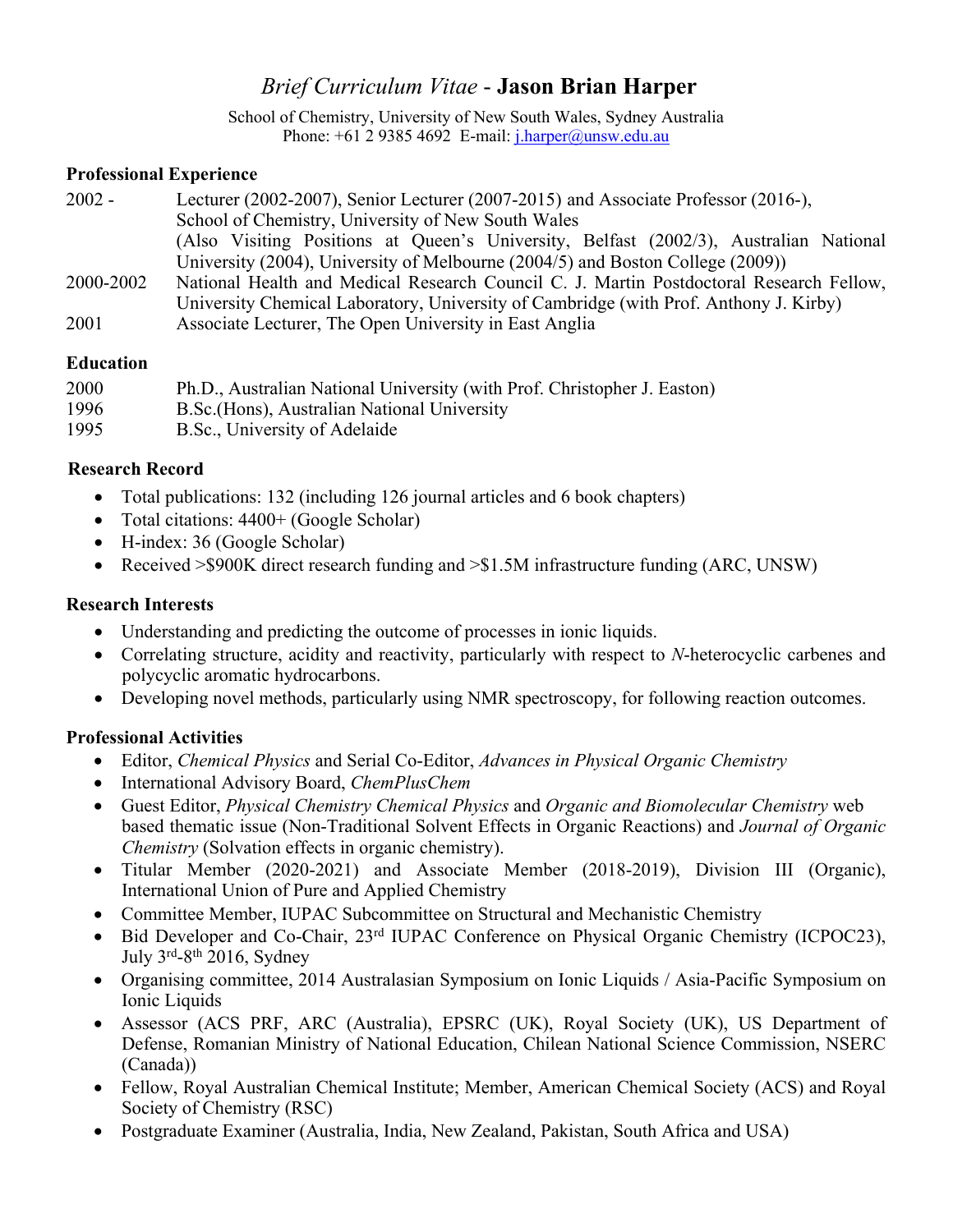# *Brief Curriculum Vitae* - **Jason Brian Harper**

School of Chemistry, University of New South Wales, Sydney Australia Phone:  $+61$  2 9385 4692 E-mail:  $\frac{\text{i.} \text{harper}(\partial \text{unsw.edu.au})}{\text{Lap}(\partial \text{unsw.edu.au})}$ 

### **Professional Experience**

| $2002 -$  | Lecturer (2002-2007), Senior Lecturer (2007-2015) and Associate Professor (2016-),      |
|-----------|-----------------------------------------------------------------------------------------|
|           | School of Chemistry, University of New South Wales                                      |
|           | (Also Visiting Positions at Queen's University, Belfast (2002/3), Australian National   |
|           | University (2004), University of Melbourne (2004/5) and Boston College (2009))          |
| 2000-2002 | National Health and Medical Research Council C. J. Martin Postdoctoral Research Fellow, |
|           | University Chemical Laboratory, University of Cambridge (with Prof. Anthony J. Kirby)   |
| 2001      | Associate Lecturer, The Open University in East Anglia                                  |

### **Education**

| 2000 | Ph.D., Australian National University (with Prof. Christopher J. Easton) |
|------|--------------------------------------------------------------------------|
| 1996 | B.Sc. (Hons), Australian National University                             |
| 1995 | B.Sc., University of Adelaide                                            |

## **Research Record**

- Total publications: 132 (including 126 journal articles and 6 book chapters)
- Total citations:  $4400+$  (Google Scholar)
- H-index: 36 (Google Scholar)
- Received > \$900K direct research funding and > \$1.5M infrastructure funding (ARC, UNSW)

# **Research Interests**

- Understanding and predicting the outcome of processes in ionic liquids.
- Correlating structure, acidity and reactivity, particularly with respect to *N*-heterocyclic carbenes and polycyclic aromatic hydrocarbons.
- Developing novel methods, particularly using NMR spectroscopy, for following reaction outcomes.

# **Professional Activities**

- Editor, *Chemical Physics* and Serial Co-Editor, *Advances in Physical Organic Chemistry*
- International Advisory Board, *ChemPlusChem*
- Guest Editor, *Physical Chemistry Chemical Physics* and *Organic and Biomolecular Chemistry* web based thematic issue (Non-Traditional Solvent Effects in Organic Reactions) and *Journal of Organic Chemistry* (Solvation effects in organic chemistry).
- Titular Member (2020-2021) and Associate Member (2018-2019), Division III (Organic), International Union of Pure and Applied Chemistry
- Committee Member, IUPAC Subcommittee on Structural and Mechanistic Chemistry
- Bid Developer and Co-Chair, 23<sup>rd</sup> IUPAC Conference on Physical Organic Chemistry (ICPOC23), July  $3<sup>rd</sup>-8<sup>th</sup>$  2016, Sydney
- Organising committee, 2014 Australasian Symposium on Ionic Liquids / Asia-Pacific Symposium on Ionic Liquids
- Assessor (ACS PRF, ARC (Australia), EPSRC (UK), Royal Society (UK), US Department of Defense, Romanian Ministry of National Education, Chilean National Science Commission, NSERC (Canada))
- Fellow, Royal Australian Chemical Institute; Member, American Chemical Society (ACS) and Royal Society of Chemistry (RSC)
- Postgraduate Examiner (Australia, India, New Zealand, Pakistan, South Africa and USA)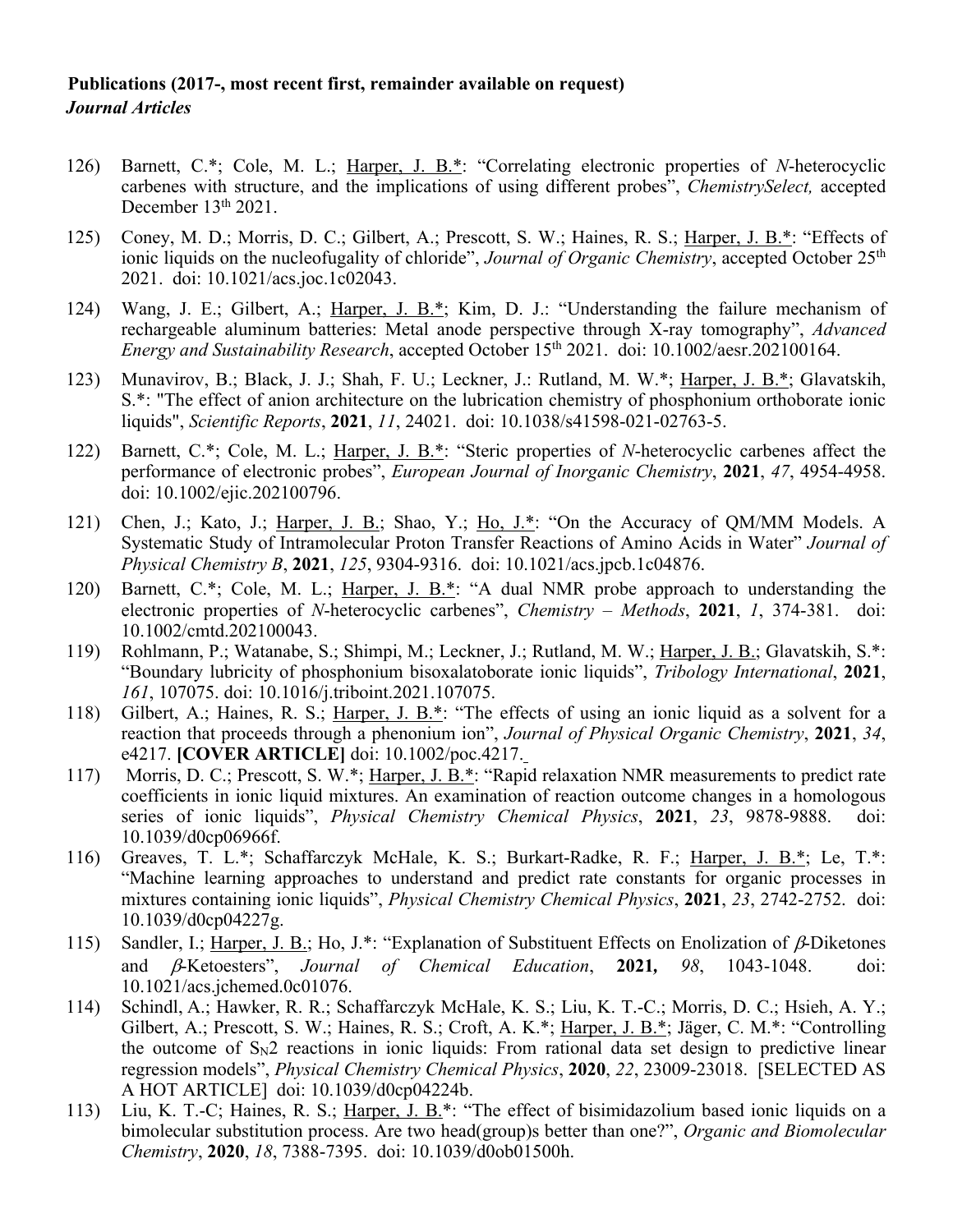#### **Publications (2017-, most recent first, remainder available on request)** *Journal Articles*

- 126) Barnett, C.\*; Cole, M. L.; Harper, J. B.\*: "Correlating electronic properties of *N*-heterocyclic carbenes with structure, and the implications of using different probes", *ChemistrySelect,* accepted December 13<sup>th</sup> 2021.
- 125) Coney, M. D.; Morris, D. C.; Gilbert, A.; Prescott, S. W.; Haines, R. S.; Harper, J. B.\*: "Effects of ionic liquids on the nucleofugality of chloride", *Journal of Organic Chemistry*, accepted October 25<sup>th</sup> 2021. doi: 10.1021/acs.joc.1c02043.
- 124) Wang, J. E.; Gilbert, A.; Harper, J. B.\*; Kim, D. J.: "Understanding the failure mechanism of rechargeable aluminum batteries: Metal anode perspective through X-ray tomography", *Advanced Energy and Sustainability Research, accepted October 15<sup>th</sup> 2021. doi: 10.1002/aesr.202100164.*
- 123) Munavirov, B.; Black, J. J.; Shah, F. U.; Leckner, J.: Rutland, M. W.\*; Harper, J. B.\*; Glavatskih, S.\*: "The effect of anion architecture on the lubrication chemistry of phosphonium orthoborate ionic liquids", *Scientific Reports*, **2021**, *11*, 24021. doi: 10.1038/s41598-021-02763-5.
- 122) Barnett, C.\*; Cole, M. L.; Harper, J. B.\*: "Steric properties of *N*-heterocyclic carbenes affect the performance of electronic probes", *European Journal of Inorganic Chemistry*, **2021**, *47*, 4954-4958. doi: 10.1002/ejic.202100796.
- 121) Chen, J.; Kato, J.; Harper, J. B.; Shao, Y.; Ho, J.\*: "On the Accuracy of QM/MM Models. A Systematic Study of Intramolecular Proton Transfer Reactions of Amino Acids in Water" *Journal of Physical Chemistry B*, **2021**, *125*, 9304-9316. doi: 10.1021/acs.jpcb.1c04876.
- 120) Barnett, C.\*; Cole, M. L.; Harper, J. B.\*: "A dual NMR probe approach to understanding the electronic properties of *N*-heterocyclic carbenes", *Chemistry – Methods*, **2021**, *1*, 374-381. doi: 10.1002/cmtd.202100043.
- 119) Rohlmann, P.; Watanabe, S.; Shimpi, M.; Leckner, J.; Rutland, M. W.; Harper, J. B.; Glavatskih, S.\*: "Boundary lubricity of phosphonium bisoxalatoborate ionic liquids", *Tribology International*, **2021**, *161*, 107075. doi: 10.1016/j.triboint.2021.107075.
- 118) Gilbert, A.; Haines, R. S.; Harper, J. B.\*: "The effects of using an ionic liquid as a solvent for a reaction that proceeds through a phenonium ion", *Journal of Physical Organic Chemistry*, **2021**, *34*, e4217. **[COVER ARTICLE]** doi: 10.1002/poc.4217.
- 117) Morris, D. C.; Prescott, S. W.\*; Harper, J. B.\*: "Rapid relaxation NMR measurements to predict rate coefficients in ionic liquid mixtures. An examination of reaction outcome changes in a homologous series of ionic liquids", *Physical Chemistry Chemical Physics*, **2021**, *23*, 9878-9888. doi: 10.1039/d0cp06966f.
- 116) Greaves, T. L.\*; Schaffarczyk McHale, K. S.; Burkart-Radke, R. F.; Harper, J. B.\*; Le, T.\*: "Machine learning approaches to understand and predict rate constants for organic processes in mixtures containing ionic liquids", *Physical Chemistry Chemical Physics*, **2021**, *23*, 2742-2752. doi: 10.1039/d0cp04227g.
- 115) Sandler, I.; Harper, J. B.; Ho, J.\*: "Explanation of Substituent Effects on Enolization of  $\beta$ -Diketones and b-Ketoesters", *Journal of Chemical Education*, **2021***, 98*, 1043-1048. doi: 10.1021/acs.jchemed.0c01076.
- 114) Schindl, A.; Hawker, R. R.; Schaffarczyk McHale, K. S.; Liu, K. T.-C.; Morris, D. C.; Hsieh, A. Y.; Gilbert, A.; Prescott, S. W.; Haines, R. S.; Croft, A. K.\*; Harper, J. B.\*; Jäger, C. M.\*: "Controlling the outcome of  $S_N2$  reactions in ionic liquids: From rational data set design to predictive linear regression models", *Physical Chemistry Chemical Physics*, **2020**, *22*, 23009-23018. [SELECTED AS A HOT ARTICLE] doi: 10.1039/d0cp04224b.
- 113) Liu, K. T.-C; Haines, R. S.; Harper, J. B.\*: "The effect of bisimidazolium based ionic liquids on a bimolecular substitution process. Are two head(group)s better than one?", *Organic and Biomolecular Chemistry*, **2020**, *18*, 7388-7395. doi: 10.1039/d0ob01500h.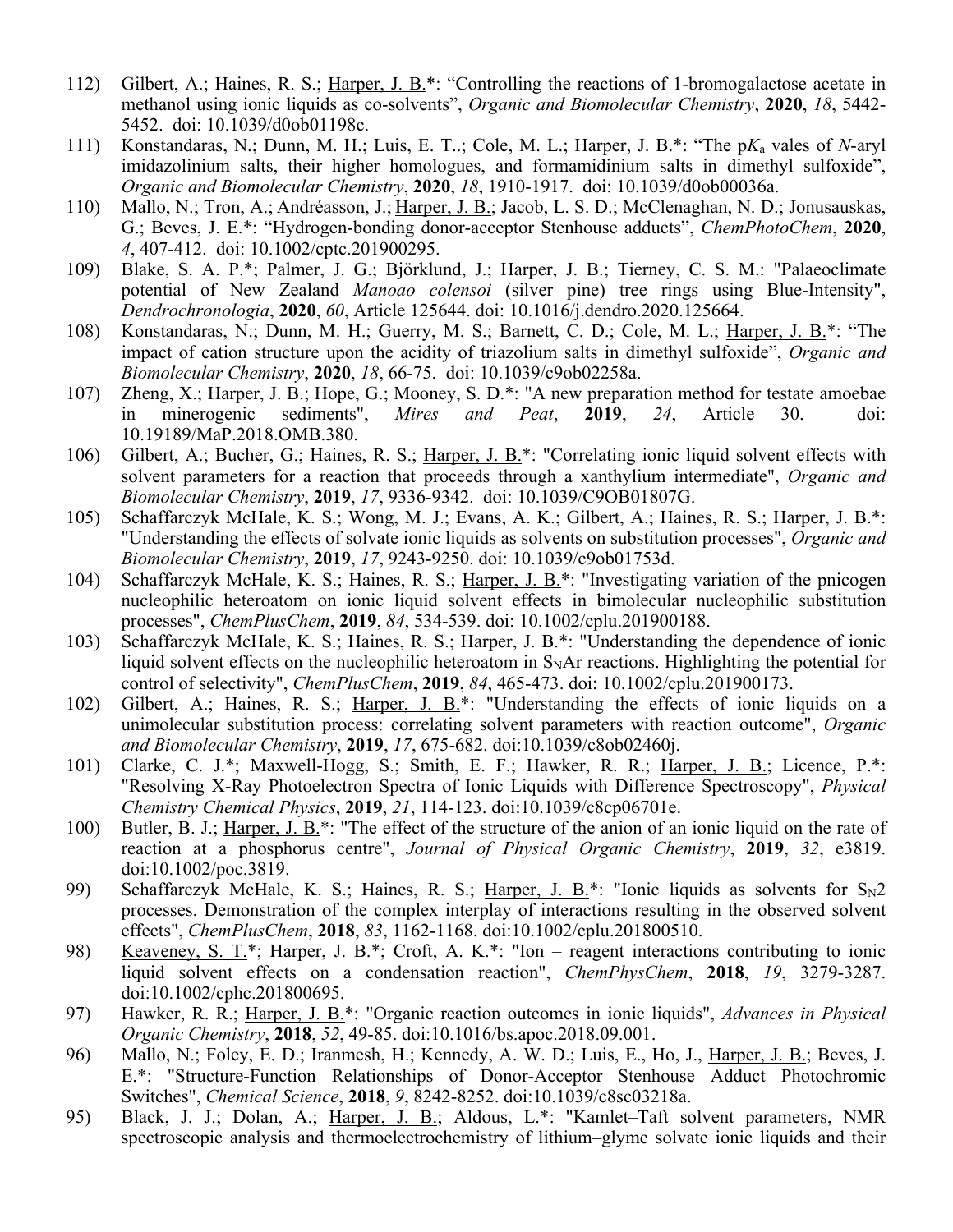- 112) Gilbert, A.; Haines, R. S.; Harper, J. B.\*: "Controlling the reactions of 1-bromogalactose acetate in methanol using ionic liquids as co-solvents", *Organic and Biomolecular Chemistry*, **2020**, *18*, 5442- 5452. doi: 10.1039/d0ob01198c.
- 111) Konstandaras, N.; Dunn, M. H.; Luis, E. T..; Cole, M. L.; Harper, J. B.\*: "The p*K*<sup>a</sup> vales of *N*-aryl imidazolinium salts, their higher homologues, and formamidinium salts in dimethyl sulfoxide", *Organic and Biomolecular Chemistry*, **2020**, *18*, 1910-1917. doi: 10.1039/d0ob00036a.
- 110) Mallo, N.; Tron, A.; Andréasson, J.; Harper, J. B.; Jacob, L. S. D.; McClenaghan, N. D.; Jonusauskas, G.; Beves, J. E.\*: "Hydrogen-bonding donor-acceptor Stenhouse adducts", *ChemPhotoChem*, **2020**, *4*, 407-412. doi: 10.1002/cptc.201900295.
- 109) Blake, S. A. P.\*; Palmer, J. G.; Björklund, J.; Harper, J. B.; Tierney, C. S. M.: "Palaeoclimate potential of New Zealand *Manoao colensoi* (silver pine) tree rings using Blue-Intensity", *Dendrochronologia*, **2020**, *60*, Article 125644. doi: 10.1016/j.dendro.2020.125664.
- 108) Konstandaras, N.; Dunn, M. H.; Guerry, M. S.; Barnett, C. D.; Cole, M. L.; Harper, J. B.\*: "The impact of cation structure upon the acidity of triazolium salts in dimethyl sulfoxide", *Organic and Biomolecular Chemistry*, **2020**, *18*, 66-75. doi: 10.1039/c9ob02258a.
- 107) Zheng, X.; Harper, J. B.; Hope, G.; Mooney, S. D.\*: "A new preparation method for testate amoebae in minerogenic sediments", *Mires and Peat*, **2019**, *24*, Article 30. doi: 10.19189/MaP.2018.OMB.380.
- 106) Gilbert, A.; Bucher, G.; Haines, R. S.; Harper, J. B.\*: "Correlating ionic liquid solvent effects with solvent parameters for a reaction that proceeds through a xanthylium intermediate", *Organic and Biomolecular Chemistry*, **2019**, *17*, 9336-9342. doi: 10.1039/C9OB01807G.
- 105) Schaffarczyk McHale, K. S.; Wong, M. J.; Evans, A. K.; Gilbert, A.; Haines, R. S.; Harper, J. B.\*: "Understanding the effects of solvate ionic liquids as solvents on substitution processes", *Organic and Biomolecular Chemistry*, **2019**, *17*, 9243-9250. doi: 10.1039/c9ob01753d.
- 104) Schaffarczyk McHale, K. S.; Haines, R. S.; Harper, J. B.<sup>\*</sup>: "Investigating variation of the pnicogen nucleophilic heteroatom on ionic liquid solvent effects in bimolecular nucleophilic substitution processes", *ChemPlusChem*, **2019**, *84*, 534-539. doi: 10.1002/cplu.201900188.
- 103) Schaffarczyk McHale, K. S.; Haines, R. S.; Harper, J. B.\*: "Understanding the dependence of ionic liquid solvent effects on the nucleophilic heteroatom in  $S<sub>N</sub>Ar$  reactions. Highlighting the potential for control of selectivity", *ChemPlusChem*, **2019**, *84*, 465-473. doi: 10.1002/cplu.201900173.
- 102) Gilbert, A.; Haines, R. S.; Harper, J. B.\*: "Understanding the effects of ionic liquids on a unimolecular substitution process: correlating solvent parameters with reaction outcome", *Organic and Biomolecular Chemistry*, **2019**, *17*, 675-682. doi:10.1039/c8ob02460j.
- 101) Clarke, C. J.\*; Maxwell-Hogg, S.; Smith, E. F.; Hawker, R. R.; Harper, J. B.; Licence, P.\*: "Resolving X-Ray Photoelectron Spectra of Ionic Liquids with Difference Spectroscopy", *Physical Chemistry Chemical Physics*, **2019**, *21*, 114-123. doi:10.1039/c8cp06701e.
- 100) Butler, B. J.; Harper, J. B.\*: "The effect of the structure of the anion of an ionic liquid on the rate of reaction at a phosphorus centre", *Journal of Physical Organic Chemistry*, **2019**, *32*, e3819. doi:10.1002/poc.3819.
- 99) Schaffarczyk McHale, K. S.; Haines, R. S.; Harper, J. B.\*: "Ionic liquids as solvents for  $S_N 2$ processes. Demonstration of the complex interplay of interactions resulting in the observed solvent effects", *ChemPlusChem*, **2018**, *83*, 1162-1168. doi:10.1002/cplu.201800510.
- 98) Keaveney, S. T.\*; Harper, J. B.\*; Croft, A. K.\*: "Ion reagent interactions contributing to ionic liquid solvent effects on a condensation reaction", *ChemPhysChem*, **2018**, *19*, 3279-3287. doi:10.1002/cphc.201800695.
- 97) Hawker, R. R.; Harper, J. B.\*: "Organic reaction outcomes in ionic liquids", *Advances in Physical Organic Chemistry*, **2018**, *52*, 49-85. doi:10.1016/bs.apoc.2018.09.001.
- 96) Mallo, N.; Foley, E. D.; Iranmesh, H.; Kennedy, A. W. D.; Luis, E., Ho, J., Harper, J. B.; Beves, J. E.\*: "Structure-Function Relationships of Donor-Acceptor Stenhouse Adduct Photochromic Switches", *Chemical Science*, **2018**, *9*, 8242-8252. doi:10.1039/c8sc03218a.
- 95) Black, J. J.; Dolan, A.; Harper, J. B.; Aldous, L.\*: "Kamlet-Taft solvent parameters, NMR spectroscopic analysis and thermoelectrochemistry of lithium–glyme solvate ionic liquids and their